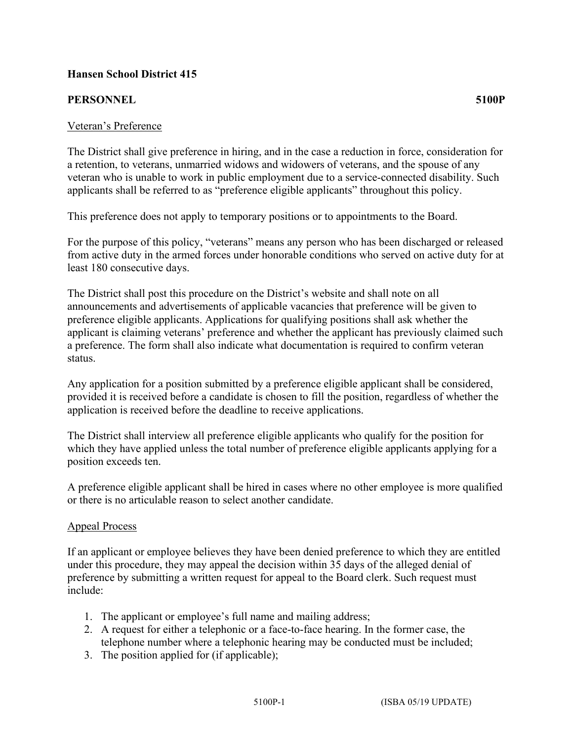## **Hansen School District 415**

## **PERSONNEL 5100P**

## Veteran's Preference

The District shall give preference in hiring, and in the case a reduction in force, consideration for a retention, to veterans, unmarried widows and widowers of veterans, and the spouse of any veteran who is unable to work in public employment due to a service-connected disability. Such applicants shall be referred to as "preference eligible applicants" throughout this policy.

This preference does not apply to temporary positions or to appointments to the Board.

For the purpose of this policy, "veterans" means any person who has been discharged or released from active duty in the armed forces under honorable conditions who served on active duty for at least 180 consecutive days.

The District shall post this procedure on the District's website and shall note on all announcements and advertisements of applicable vacancies that preference will be given to preference eligible applicants. Applications for qualifying positions shall ask whether the applicant is claiming veterans' preference and whether the applicant has previously claimed such a preference. The form shall also indicate what documentation is required to confirm veteran status.

Any application for a position submitted by a preference eligible applicant shall be considered, provided it is received before a candidate is chosen to fill the position, regardless of whether the application is received before the deadline to receive applications.

The District shall interview all preference eligible applicants who qualify for the position for which they have applied unless the total number of preference eligible applicants applying for a position exceeds ten.

A preference eligible applicant shall be hired in cases where no other employee is more qualified or there is no articulable reason to select another candidate.

## Appeal Process

If an applicant or employee believes they have been denied preference to which they are entitled under this procedure, they may appeal the decision within 35 days of the alleged denial of preference by submitting a written request for appeal to the Board clerk. Such request must include:

- 1. The applicant or employee's full name and mailing address;
- 2. A request for either a telephonic or a face-to-face hearing. In the former case, the telephone number where a telephonic hearing may be conducted must be included;
- 3. The position applied for (if applicable);